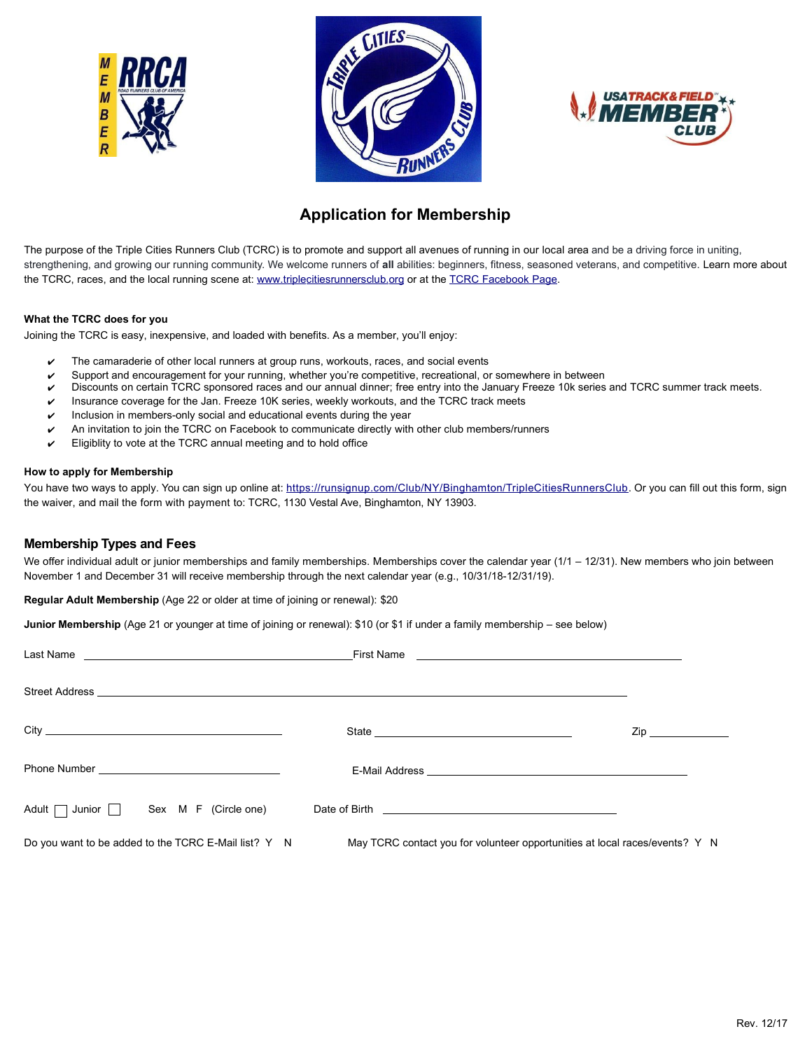





# **Application for Membership**

The purpose of the Triple Cities Runners Club (TCRC) is to promote and support all avenues of running in our local area and be a driving force in uniting, strengthening, and growing our running community. We welcome runners of **all** abilities: beginners, fitness, seasoned veterans, and competitive. Learn more about the TCRC, races, and the local running scene at: www.triplecitiesrunnersclub.org or at the [TCRC Facebook Page.](http://www.facebook.com/pages/Triple-Cities-Runners-Club/253652067979627)

#### **What the TCRC does for you**

Joining the TCRC is easy, inexpensive, and loaded with benefits. As a member, you'll enjoy:

- $\checkmark$  The camaraderie of other local runners at group runs, workouts, races, and social events
- ✔ Support and encouragement for your running, whether you're competitive, recreational, or somewhere in between
- ✔ Discounts on certain TCRC sponsored races and our annual dinner; free entry into the January Freeze 10k series and TCRC summer track meets.
- $\triangledown$  Insurance coverage for the Jan. Freeze 10K series, weekly workouts, and the TCRC track meets
- Inclusion in members-only social and educational events during the year
- An invitation to join the TCRC on Facebook to communicate directly with other club members/runners
- Eligiblity to vote at the TCRC annual meeting and to hold office

#### **How to apply for Membership**

You have two ways to apply. You can sign up online at: [https://runsignup.com/Club/NY/Binghamton/TripleCitiesRunnersClub.](https://runsignup.com/Club/NY/Binghamton/TripleCitiesRunnersClub) Or you can fill out this form, sign the waiver, and mail the form with payment to: TCRC, 1130 Vestal Ave, Binghamton, NY 13903.

## **Membership Types and Fees**

We offer individual adult or junior memberships and family memberships. Memberships cover the calendar year (1/1 – 12/31). New members who join between November 1 and December 31 will receive membership through the next calendar year (e.g., 10/31/18-12/31/19).

**Regular Adult Membership** (Age 22 or older at time of joining or renewal): \$20

**Junior Membership** (Age 21 or younger at time of joining or renewal): \$10 (or \$1 if under a family membership – see below)

| City <u>superior and the second contract of the second contract of the second contract of the second contract of the second contract of the second contract of the second contract of the second contract of the second contract</u> |                                                                             |  |
|--------------------------------------------------------------------------------------------------------------------------------------------------------------------------------------------------------------------------------------|-----------------------------------------------------------------------------|--|
|                                                                                                                                                                                                                                      |                                                                             |  |
| Adult $\Box$ Junior $\Box$ Sex M F (Circle one)                                                                                                                                                                                      |                                                                             |  |
| Do you want to be added to the TCRC E-Mail list? Y N                                                                                                                                                                                 | May TCRC contact you for volunteer opportunities at local races/events? Y N |  |